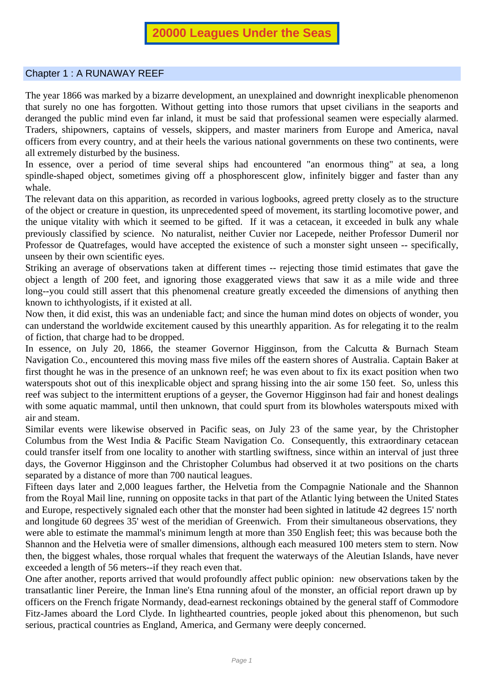## Chapter 1 : A RUNAWAY REEF

The year 1866 was marked by a bizarre development, an unexplained and downright inexplicable phenomenon that surely no one has forgotten. Without getting into those rumors that upset civilians in the seaports and deranged the public mind even far inland, it must be said that professional seamen were especially alarmed. Traders, shipowners, captains of vessels, skippers, and master mariners from Europe and America, naval officers from every country, and at their heels the various national governments on these two continents, were all extremely disturbed by the business.

In essence, over a period of time several ships had encountered "an enormous thing" at sea, a long spindle-shaped object, sometimes giving off a phosphorescent glow, infinitely bigger and faster than any whale.

The relevant data on this apparition, as recorded in various logbooks, agreed pretty closely as to the structure of the object or creature in question, its unprecedented speed of movement, its startling locomotive power, and the unique vitality with which it seemed to be gifted. If it was a cetacean, it exceeded in bulk any whale previously classified by science. No naturalist, neither Cuvier nor Lacepede, neither Professor Dumeril nor Professor de Quatrefages, would have accepted the existence of such a monster sight unseen -- specifically, unseen by their own scientific eyes.

Striking an average of observations taken at different times -- rejecting those timid estimates that gave the object a length of 200 feet, and ignoring those exaggerated views that saw it as a mile wide and three long--you could still assert that this phenomenal creature greatly exceeded the dimensions of anything then known to ichthyologists, if it existed at all.

Now then, it did exist, this was an undeniable fact; and since the human mind dotes on objects of wonder, you can understand the worldwide excitement caused by this unearthly apparition. As for relegating it to the realm of fiction, that charge had to be dropped.

In essence, on July 20, 1866, the steamer Governor Higginson, from the Calcutta & Burnach Steam Navigation Co., encountered this moving mass five miles off the eastern shores of Australia. Captain Baker at first thought he was in the presence of an unknown reef; he was even about to fix its exact position when two waterspouts shot out of this inexplicable object and sprang hissing into the air some 150 feet. So, unless this reef was subject to the intermittent eruptions of a geyser, the Governor Higginson had fair and honest dealings with some aquatic mammal, until then unknown, that could spurt from its blowholes waterspouts mixed with air and steam.

Similar events were likewise observed in Pacific seas, on July 23 of the same year, by the Christopher Columbus from the West India & Pacific Steam Navigation Co. Consequently, this extraordinary cetacean could transfer itself from one locality to another with startling swiftness, since within an interval of just three days, the Governor Higginson and the Christopher Columbus had observed it at two positions on the charts separated by a distance of more than 700 nautical leagues.

Fifteen days later and 2,000 leagues farther, the Helvetia from the Compagnie Nationale and the Shannon from the Royal Mail line, running on opposite tacks in that part of the Atlantic lying between the United States and Europe, respectively signaled each other that the monster had been sighted in latitude 42 degrees 15' north and longitude 60 degrees 35' west of the meridian of Greenwich. From their simultaneous observations, they were able to estimate the mammal's minimum length at more than 350 English feet; this was because both the Shannon and the Helvetia were of smaller dimensions, although each measured 100 meters stem to stern. Now then, the biggest whales, those rorqual whales that frequent the waterways of the Aleutian Islands, have never exceeded a length of 56 meters--if they reach even that.

One after another, reports arrived that would profoundly affect public opinion: new observations taken by the transatlantic liner Pereire, the Inman line's Etna running afoul of the monster, an official report drawn up by officers on the French frigate Normandy, dead-earnest reckonings obtained by the general staff of Commodore Fitz-James aboard the Lord Clyde. In lighthearted countries, people joked about this phenomenon, but such serious, practical countries as England, America, and Germany were deeply concerned.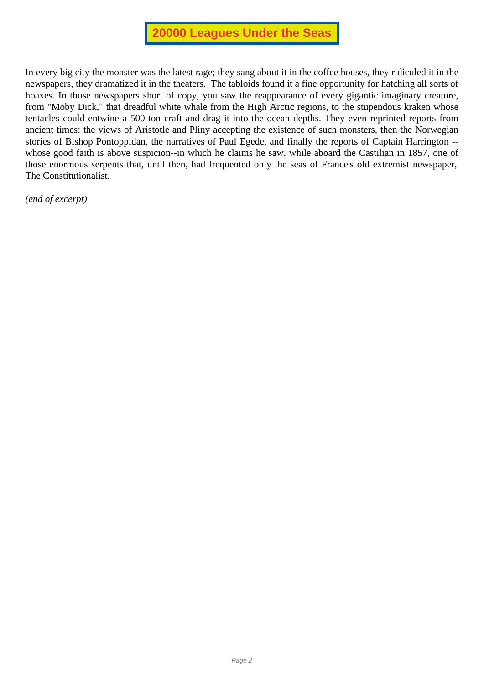In every big city the monster was the latest rage; they sang about it in the coffee houses, they ridiculed it in the newspapers, they dramatized it in the theaters. The tabloids found it a fine opportunity for hatching all sorts of hoaxes. In those newspapers short of copy, you saw the reappearance of every gigantic imaginary creature, from "Moby Dick," that dreadful white whale from the High Arctic regions, to the stupendous kraken whose tentacles could entwine a 500-ton craft and drag it into the ocean depths. They even reprinted reports from ancient times: the views of Aristotle and Pliny accepting the existence of such monsters, then the Norwegian stories of Bishop Pontoppidan, the narratives of Paul Egede, and finally the reports of Captain Harrington - whose good faith is above suspicion--in which he claims he saw, while aboard the Castilian in 1857, one of those enormous serpents that, until then, had frequented only the seas of France's old extremist newspaper, The Constitutionalist.

*(end of excerpt)*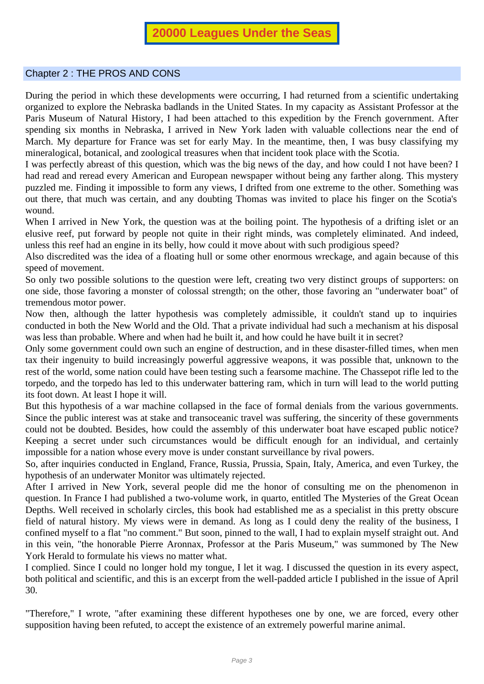## Chapter 2 : THE PROS AND CONS

During the period in which these developments were occurring, I had returned from a scientific undertaking organized to explore the Nebraska badlands in the United States. In my capacity as Assistant Professor at the Paris Museum of Natural History, I had been attached to this expedition by the French government. After spending six months in Nebraska, I arrived in New York laden with valuable collections near the end of March. My departure for France was set for early May. In the meantime, then, I was busy classifying my mineralogical, botanical, and zoological treasures when that incident took place with the Scotia.

I was perfectly abreast of this question, which was the big news of the day, and how could I not have been? I had read and reread every American and European newspaper without being any farther along. This mystery puzzled me. Finding it impossible to form any views, I drifted from one extreme to the other. Something was out there, that much was certain, and any doubting Thomas was invited to place his finger on the Scotia's wound.

When I arrived in New York, the question was at the boiling point. The hypothesis of a drifting islet or an elusive reef, put forward by people not quite in their right minds, was completely eliminated. And indeed, unless this reef had an engine in its belly, how could it move about with such prodigious speed?

Also discredited was the idea of a floating hull or some other enormous wreckage, and again because of this speed of movement.

So only two possible solutions to the question were left, creating two very distinct groups of supporters: on one side, those favoring a monster of colossal strength; on the other, those favoring an "underwater boat" of tremendous motor power.

Now then, although the latter hypothesis was completely admissible, it couldn't stand up to inquiries conducted in both the New World and the Old. That a private individual had such a mechanism at his disposal was less than probable. Where and when had he built it, and how could he have built it in secret?

Only some government could own such an engine of destruction, and in these disaster-filled times, when men tax their ingenuity to build increasingly powerful aggressive weapons, it was possible that, unknown to the rest of the world, some nation could have been testing such a fearsome machine. The Chassepot rifle led to the torpedo, and the torpedo has led to this underwater battering ram, which in turn will lead to the world putting its foot down. At least I hope it will.

But this hypothesis of a war machine collapsed in the face of formal denials from the various governments. Since the public interest was at stake and transoceanic travel was suffering, the sincerity of these governments could not be doubted. Besides, how could the assembly of this underwater boat have escaped public notice? Keeping a secret under such circumstances would be difficult enough for an individual, and certainly impossible for a nation whose every move is under constant surveillance by rival powers.

So, after inquiries conducted in England, France, Russia, Prussia, Spain, Italy, America, and even Turkey, the hypothesis of an underwater Monitor was ultimately rejected.

After I arrived in New York, several people did me the honor of consulting me on the phenomenon in question. In France I had published a two-volume work, in quarto, entitled The Mysteries of the Great Ocean Depths. Well received in scholarly circles, this book had established me as a specialist in this pretty obscure field of natural history. My views were in demand. As long as I could deny the reality of the business, I confined myself to a flat "no comment." But soon, pinned to the wall, I had to explain myself straight out. And in this vein, "the honorable Pierre Aronnax, Professor at the Paris Museum," was summoned by The New York Herald to formulate his views no matter what.

I complied. Since I could no longer hold my tongue, I let it wag. I discussed the question in its every aspect, both political and scientific, and this is an excerpt from the well-padded article I published in the issue of April 30.

"Therefore," I wrote, "after examining these different hypotheses one by one, we are forced, every other supposition having been refuted, to accept the existence of an extremely powerful marine animal.